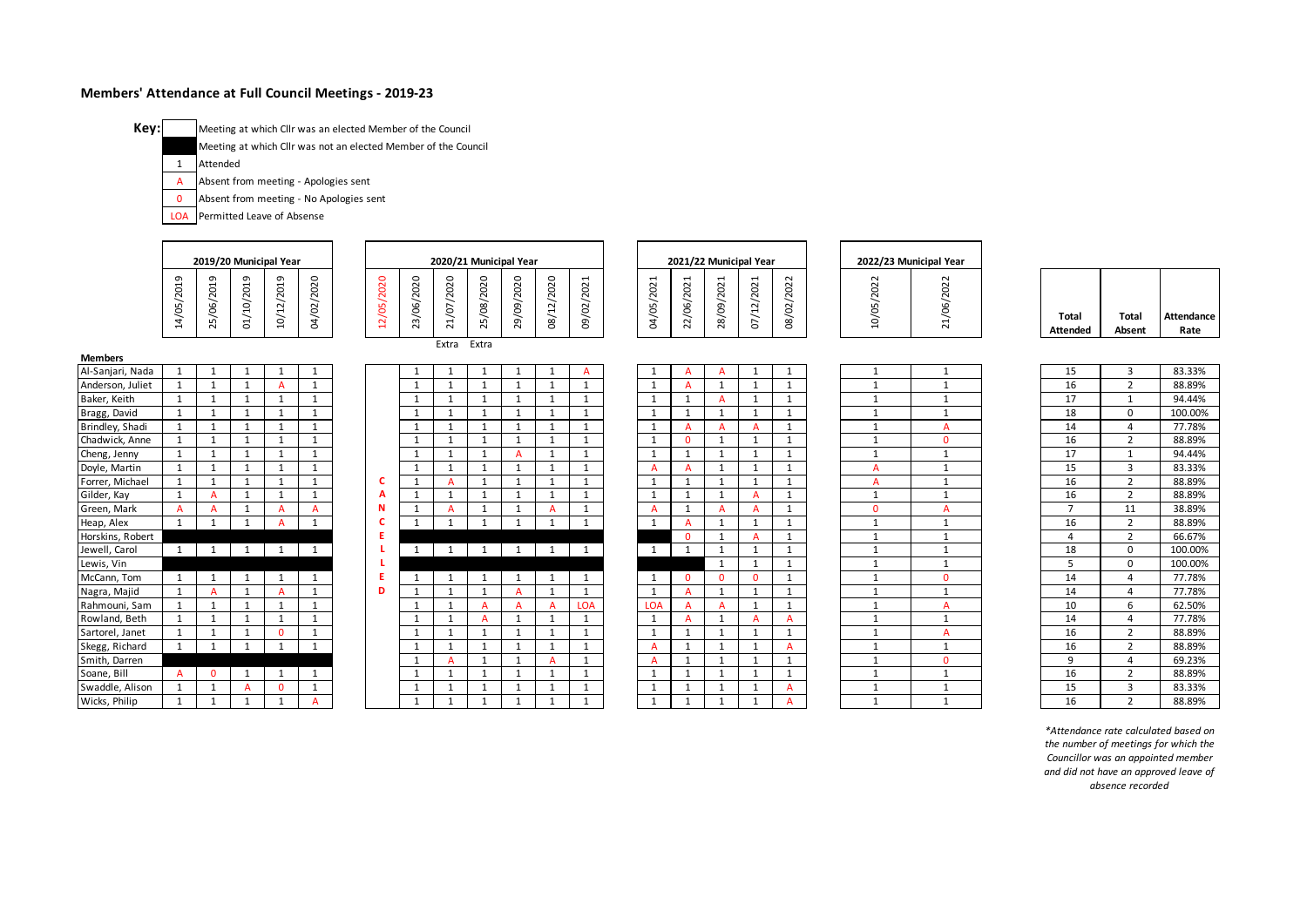## **Members' Attendance at Full Council Meetings - 2019-23**

**Key:**

Meeting at which Cllr was an elected Member of the Council

Meeting at which Cllr was not an elected Member of the Council

1 Attended

- A Absent from meeting - Apologies sent
- 0 Absent from meeting - No Apologies sent

LOA Permitted Leave of Absense

|                                    |              |                     | 2019/20 Municipal Year |                |              |               |            | 2020/21 Municipal Year |            |              |                |              |                |                         |              | 2021/22 Municipal Year |                |                | 2022/23 Municipal Year   |                          |                        |                    |
|------------------------------------|--------------|---------------------|------------------------|----------------|--------------|---------------|------------|------------------------|------------|--------------|----------------|--------------|----------------|-------------------------|--------------|------------------------|----------------|----------------|--------------------------|--------------------------|------------------------|--------------------|
|                                    | 14/05/2019   | 5/06/2019<br>$\sim$ | 01/10/2019             | 10/12/2019     | 04/02/2020   | 2020<br>2/05/ | 23/06/2020 | 1/07/2020<br>$\sim$    | 25/08/2020 | 29/09/2020   | 12/2020<br>08/ | 09/02/2021   | 04/05/2021     | 2021<br>2/06/<br>$\sim$ | 28/09/2021   | 07/12/2021             | 2022<br>08/02/ | 10/05/2022     | 2022<br>1/06/3<br>$\sim$ | Total<br><b>Attended</b> | <b>Total</b><br>Absent | Attendance<br>Rate |
|                                    |              |                     |                        |                |              |               |            | Extra                  | Extra      |              |                |              |                |                         |              |                        |                |                |                          |                          |                        |                    |
| <b>Members</b><br>Al-Sanjari, Nada |              |                     |                        | 1              |              |               |            | 1                      |            | 1            |                | A            |                |                         | A            | 1                      | 1              |                | 1                        | 15                       | 3                      | 83.33%             |
| Anderson, Juliet                   |              |                     |                        |                |              |               |            |                        |            | -1           | -1             |              |                |                         |              | -1                     |                |                | -1                       | 16                       | $\mathcal{D}$          | 88.89%             |
| Baker, Keith                       |              | $\overline{1}$      | $\mathbf{1}$           | $\mathbf{1}$   |              |               |            | $\overline{1}$         |            | $\mathbf{1}$ | $\mathbf{1}$   |              |                |                         |              | $\mathbf{1}$           | $\overline{1}$ |                | -1                       | 17                       |                        | 94.44%             |
| Bragg, David                       |              |                     |                        | $\overline{1}$ |              |               |            |                        |            |              |                |              |                |                         |              | -1                     | -4             |                |                          | 18                       | $\Omega$               | 100.00%            |
| Brindley, Shadi                    |              |                     |                        | $\mathbf{1}$   |              |               |            |                        |            | -1           |                | $\mathbf{1}$ |                |                         |              | A                      | $\mathbf{1}$   |                | A                        | 14                       |                        | 77.78%             |
| Chadwick, Anne                     |              | -1                  | 1                      | $\mathbf{1}$   | $\mathbf{1}$ |               | 1          | $\mathbf{1}$           |            | $\mathbf{1}$ | 1              | $\mathbf{1}$ | $\overline{1}$ | $\Omega$                |              | $\mathbf{1}$           | $\mathbf{1}$   | $\mathbf{1}$   | $\Omega$                 | 16                       | 2                      | 88.89%             |
| Cheng, Jenny                       |              |                     |                        | $\overline{ }$ |              |               |            |                        |            |              |                |              |                |                         |              | -1                     |                |                |                          | 17                       |                        | 94.44%             |
| Doyle, Martin                      |              |                     |                        | $\mathbf{1}$   |              |               |            |                        |            | -1           |                |              | $\overline{A}$ |                         |              | $\mathbf{1}$           | $\overline{1}$ | А              | 1                        | 15                       | 3                      | 83.33%             |
| Forrer, Michael                    |              | $\overline{1}$      | $\mathbf{1}$           | $\mathbf{1}$   |              |               | 1          | A                      |            | $\mathbf 1$  | $\mathbf{1}$   |              |                |                         |              | 1                      | 1              | А              | -1                       | 16                       | $\overline{2}$         | 88.89%             |
| Gilder, Kay                        |              |                     |                        | 1              |              |               |            |                        |            |              |                |              |                |                         |              | A                      |                |                | -1                       | 16                       | $\overline{2}$         | 88.89%             |
| Green, Mark                        |              |                     |                        | A              |              | N             |            | A                      |            | 1            |                |              | A              |                         |              | A                      | $\mathbf{1}$   | $\mathbf{0}$   | A                        | $\overline{ }$           | 11                     | 38.89%             |
| Heap, Alex                         |              |                     |                        |                |              |               |            |                        |            |              |                |              |                |                         |              | $\mathbf{1}$           | $\mathbf{1}$   | $\mathbf{1}$   | $\mathbf{1}$             | 16                       | $\overline{2}$         | 88.89%             |
| Horskins, Robert                   |              |                     |                        |                |              |               |            |                        |            |              |                |              |                | $\Omega$                |              | A                      | $\mathbf{1}$   | $\mathbf{1}$   | $\mathbf{1}$             |                          | 2                      | 66.67%             |
| Jewell, Carol                      | $\mathbf{1}$ | 1                   | 1                      | 1              | 1            |               |            | $\overline{1}$         | 1          | 1            | 1              |              | 1              |                         |              | $\mathbf{1}$           | $\mathbf{1}$   | 1              | $\mathbf 1$              | 18                       | $\Omega$               | 100.00%            |
| Lewis, Vin                         |              |                     |                        |                |              |               |            |                        |            |              |                |              |                |                         |              | $\mathbf{1}$           |                |                | -1                       | 5                        | 0                      | 100.00%            |
| McCann, Tom                        |              |                     |                        | 1              | $\mathbf{1}$ |               |            | 1                      |            | 1            |                | 1            |                | $\Omega$                | $\mathbf{0}$ | $\Omega$               |                | $\overline{1}$ | $\Omega$                 | 14                       | 4                      | 77.78%             |
| Nagra, Majid                       |              |                     | $\mathbf{1}$           |                |              | D             |            | -1                     |            |              |                | $\mathbf{1}$ |                |                         |              | $\mathbf{1}$           |                |                | -1                       | 14                       | Δ                      | 77.78%             |
| Rahmouni, Sam                      |              |                     |                        | 1              |              |               |            |                        |            |              |                | LOA          | <b>LOA</b>     |                         |              | $\mathbf{1}$           | $\mathbf{1}$   | $\mathbf{1}$   | A                        | 10                       |                        | 62.50%             |
| Rowland, Beth                      |              | 1                   | 1                      | 1              |              |               | 1          | 1                      |            | 1            | 1              |              | 1              |                         |              |                        |                | 1              | 1                        | 14                       |                        | 77.78%             |

Sartorel, Janet 1 1 1 0 1 1 1 1 1 1 1 1 1 1 1 1 1 A 16 2 88.89% Skegg, Richard 1 1 1 1 1 1 1 1 1 1 1 A 1 1 1 A 1 1 16 2 88.89% Smith, Darren 1990 – 1990 – 1990 – 1991 – 1991 – 1991 – 1991 – 1991 – 1991 – 1991 – 1991 – 1991 – 1991 – 1991 – 1991 Soane, Bill A 0 1 1 1 1 1 1 1 1 1 1 1 1 1 1 1 1 16 2 88.89%

Swaddle, Alison 1 1 A 0 1 1 1 1 1 1 1 1 1 1 1 A 1 1 15 3 83.33% Wicks, Philip 1 1 1 1 A 1 1 1 1 1 1 1 1 1 1 A 1 1 16 2 88.89% *\*Attendance rate calculated based on the number of meetings for which the Councillor was an appointed member and did not have an approved leave of* 

*absence recorded*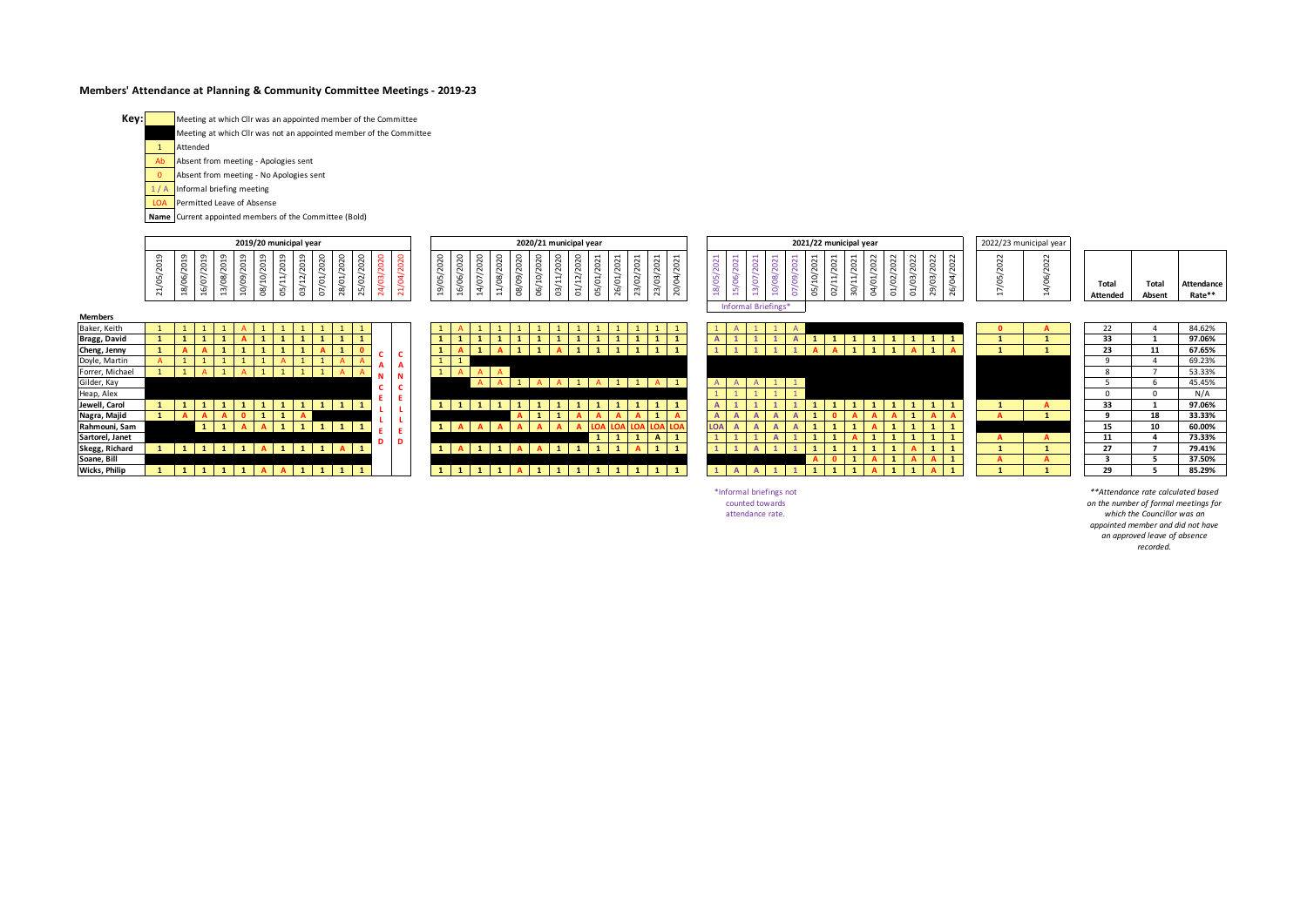## **Members' Attendance at Planning & Community Committee Meetings - 2019-23**



|              | 2019/20 municipal year                  | 2020/21 municipal year<br>2021/22 municipal year                                                                                                                       | 2022/23 municipal year                                                                         |
|--------------|-----------------------------------------|------------------------------------------------------------------------------------------------------------------------------------------------------------------------|------------------------------------------------------------------------------------------------|
|              | $\overline{\phantom{0}}$<br>o<br>$\sim$ | $\circ$<br>$\sim$<br>$\overline{ }$<br>$\sim$<br>∣ ○<br>റ<br>$\circ$<br>-<br>$\overline{\phantom{a}}$<br>$\sim$<br>$\sigma$<br>$\overline{\phantom{0}}$<br>-<br>$\sim$ | $\sim$<br>$\sim$<br>Total<br><b>Attendance</b><br>Total<br>Rate**<br><b>Attended</b><br>Absent |
| Members      |                                         | Informal Briefings*                                                                                                                                                    |                                                                                                |
| Baker, Keith |                                         |                                                                                                                                                                        | 84.62%<br>$^{22}$                                                                              |
| Bragg, David |                                         |                                                                                                                                                                        | 97.06%<br>33                                                                                   |

| <b>Members</b>  |  |              |     |   |  |                |              |                          |                   |  |  |     |                     |  |                |                |              |  |     |  |  |                |              |  |  |     |      |  |  |    |    |        |
|-----------------|--|--------------|-----|---|--|----------------|--------------|--------------------------|-------------------|--|--|-----|---------------------|--|----------------|----------------|--------------|--|-----|--|--|----------------|--------------|--|--|-----|------|--|--|----|----|--------|
| Baker, Keith    |  |              |     |   |  |                |              | ᆠ                        |                   |  |  |     |                     |  |                |                |              |  |     |  |  |                |              |  |  |     |      |  |  | 22 |    | 84.62% |
| Bragg, David    |  |              |     |   |  |                |              | $\blacksquare$<br>л.     |                   |  |  |     |                     |  | ×.             |                |              |  |     |  |  |                | $\mathbf{1}$ |  |  |     |      |  |  | 33 |    | 97.06% |
| Cheng, Jenny    |  |              |     |   |  | A              |              | $\overline{\phantom{a}}$ | $\sim$            |  |  |     |                     |  | $\mathbf{1}$   |                | 1            |  |     |  |  |                | A            |  |  |     |      |  |  | 23 | 11 | 67.65% |
| Doyle, Martin   |  |              |     |   |  |                |              | $\mathbf{A}$             | . L .             |  |  |     |                     |  |                |                |              |  |     |  |  |                |              |  |  |     |      |  |  |    |    | 69.23% |
| Forrer, Michael |  |              |     |   |  |                |              |                          | $\mathbf{A}$<br>N |  |  |     |                     |  |                |                |              |  |     |  |  |                |              |  |  |     |      |  |  |    |    | 53.33% |
| Gilder, Kay     |  |              |     |   |  |                |              |                          |                   |  |  |     |                     |  |                |                |              |  |     |  |  |                |              |  |  |     |      |  |  |    |    | 45.45% |
| Heap, Alex      |  |              |     |   |  |                |              |                          | Æ.                |  |  |     |                     |  |                |                |              |  |     |  |  |                |              |  |  |     |      |  |  |    |    | N/A    |
| Jewell, Carol   |  |              |     |   |  | 1 <sub>1</sub> | $\mathbf{1}$ |                          |                   |  |  |     |                     |  | $\mathbf{1}$   |                | $\mathbf{1}$ |  |     |  |  |                | 1            |  |  | -1. |      |  |  | 33 |    | 97.06% |
| Nagra, Majid    |  |              |     |   |  |                |              |                          |                   |  |  |     |                     |  | A              | $\overline{A}$ |              |  |     |  |  |                |              |  |  |     |      |  |  |    | 18 | 33.33% |
| Rahmouni, Sam   |  | $\mathbf{1}$ |     |   |  |                |              | $\mathbf{1}$             | . .<br><b>D</b>   |  |  |     |                     |  |                |                |              |  | LOA |  |  |                | $\mathbf{1}$ |  |  |     | - 11 |  |  | 15 | 10 | 60.00% |
| Sartorel, Janet |  |              |     |   |  |                |              |                          | D                 |  |  |     |                     |  | $\mathbf{1}$   |                | $\mathbf{A}$ |  |     |  |  |                | $\mathbf{1}$ |  |  |     |      |  |  | 11 |    | 73.33% |
| Skegg, Richard  |  |              |     |   |  |                | $A \mid 1$   |                          |                   |  |  |     |                     |  | $\blacksquare$ |                |              |  |     |  |  |                | $\mathbf{1}$ |  |  |     |      |  |  | 27 |    | 79.41% |
| Soane, Bill     |  |              |     |   |  |                |              |                          |                   |  |  |     |                     |  |                |                |              |  |     |  |  | $\overline{A}$ |              |  |  |     |      |  |  |    |    | 37.50% |
| Wicks, Philip   |  |              | . . | A |  | 1              |              | $\mathbf{1}$             |                   |  |  | . . | <b>State Street</b> |  | $\mathbf{1}$   | - 11           |              |  |     |  |  |                | $\mathbf{1}$ |  |  |     |      |  |  | 29 |    | 85.29% |

|              |   | 1 |   |              |   | 1 | 1            |   |   |                |     | 1            |
|--------------|---|---|---|--------------|---|---|--------------|---|---|----------------|-----|--------------|
|              | А | 1 | Α |              |   | Α |              |   |   |                |     | 1            |
| 1            | 1 |   |   |              |   |   |              |   |   |                |     |              |
| $\mathbf{1}$ | А | А | Α |              |   |   |              |   |   |                |     |              |
|              |   | A | А | $\mathbf{1}$ | А | А | $\mathbf{1}$ | А | 1 | $\overline{1}$ | А   | $\mathbf{1}$ |
|              |   |   |   |              |   |   |              |   |   |                |     |              |
| 1            |   |   | 1 | 1            |   | 1 | 1            | 1 | 1 | 1              | 1   | 1            |
|              |   |   |   | A            |   |   | А            | А | А | А              |     | А            |
| 1            |   | А | А | Α            | А | Α | А            | О | o | LO             | LOA | LOP          |
|              |   |   |   |              |   |   |              | 1 |   | 1              | А   | $\mathbf{1}$ |
| 1            |   | 1 |   | А            | A | 1 | 1            | 1 |   | А              |     | 1            |
|              |   |   |   |              |   |   |              |   |   |                |     |              |
| ı            |   | 1 | 1 | А            |   | 1 | 1            | 1 |   | 1              | 1   | 1            |

|              | A            | 1 | 1            | $\overline{A}$ |              |              |              |   |              |              |              |              |
|--------------|--------------|---|--------------|----------------|--------------|--------------|--------------|---|--------------|--------------|--------------|--------------|
| Α            | $\mathbf{1}$ | 1 | $\mathbf{1}$ | A              | 1            | 1            | $\mathbf{1}$ | 1 | $\mathbf{1}$ | 1            | $\mathbf{1}$ | 1            |
| 1            | $\mathbf{1}$ | 1 | $\mathbf{1}$ | $\mathbf{1}$   | A            | А            | 1            | 1 | $\mathbf{1}$ | А            | $\mathbf{1}$ | А            |
|              |              |   |              |                |              |              |              |   |              |              |              |              |
|              |              |   |              |                |              |              |              |   |              |              |              |              |
| $\mathsf{A}$ | Α            | A | $\mathbf{1}$ | 1              |              |              |              |   |              |              |              |              |
| 1            | 1            | 1 | 1            | 1              |              |              |              |   |              |              |              |              |
| A            | $\mathbf{1}$ | 1 | $\mathbf{1}$ | 1              | 1            | 1            | 1            | 1 | 1            | 1            | 1            | $\mathbf{1}$ |
| Α            | Α            | А | A            | A              | 1            | O            | А            | А | A            | $\mathbf{1}$ | A            | A            |
| <b>LOA</b>   | A            | A | A            | A              | $\mathbf{1}$ | 1            | 1            | А | $\mathbf{1}$ | 1            | $\mathbf{1}$ | 1            |
| 1            | $\mathbf{1}$ | 1 | A            | 1              | $\mathbf{1}$ | 1            | А            | 1 | 1            | 1            | 1            | 1            |
| 1            | $\mathbf{1}$ | A | 1            | 1              | 1            | 1            | 1            | 1 | 1            | А            | 1            | 1            |
|              |              |   |              |                | A            | $\mathbf{0}$ | $\mathbf{1}$ | А | $\mathbf{1}$ | А            | A            | 1            |
| 1            | Α            | A | 1            | 1              | 1            | 1            | 1            | А | 1            | $\mathbf{1}$ | A            | 1            |

| 22 | 4            | 84.62% |
|----|--------------|--------|
| 33 | $\mathbf{1}$ | 97.06% |
| 23 | 11           | 67.65% |
| 9  | 4            | 69.23% |
| 8  | 7            | 53.33% |
| 5  | 6            | 45.45% |
| 0  | 0            | N/A    |
|    |              |        |
| 33 | $\mathbf{1}$ | 97.06% |
| 9  | 18           | 33.33% |
| 15 | 10           | 60.00% |
| 11 | 4            | 73.33% |
| 27 | 7            | 79.41% |
| 3  | 5            | 37.50% |

\*Informal briefings not counted towards attendance rate.

*\*\*Attendance rate calculated based on the number of formal meetings for which the Councillor was an appointed member and did not have an approved leave of absence recorded.*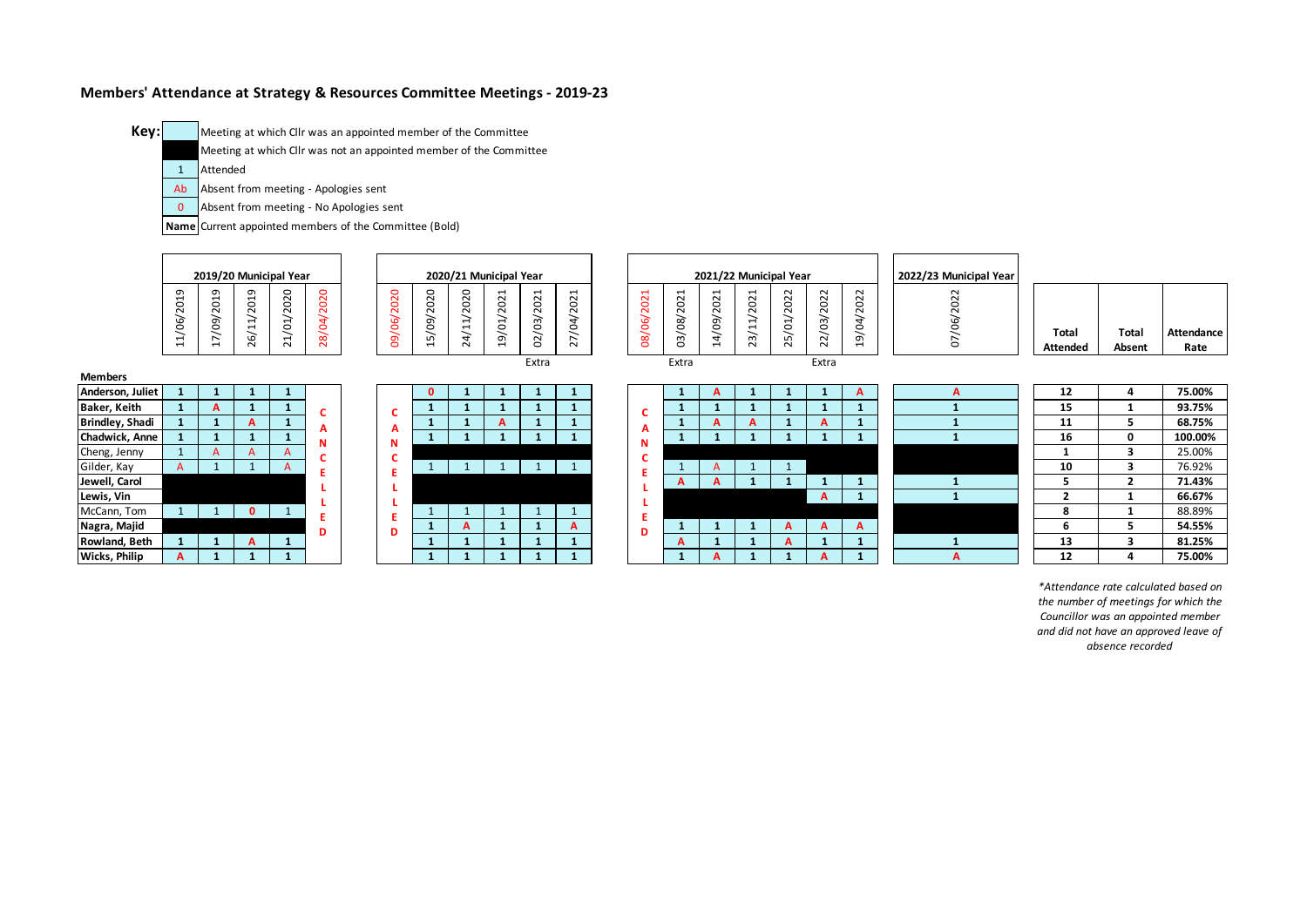## **Members' Attendance at Strategy & Resources Committee Meetings - 2019-23**

Meeting at which Cllr was an appointed member of the Committee

Meeting at which Cllr was not an appointed member of the Committee

1 Attended

**Key:**

- Ab Absent from meeting - Apologies sent
- $\overline{0}$ Absent from meeting - No Apologies sent

**Name** Current appointed members of the Committee (Bold)



*\*Attendance rate calculated based on the number of meetings for which the Councillor was an appointed member and did not have an approved leave of absence recorded*